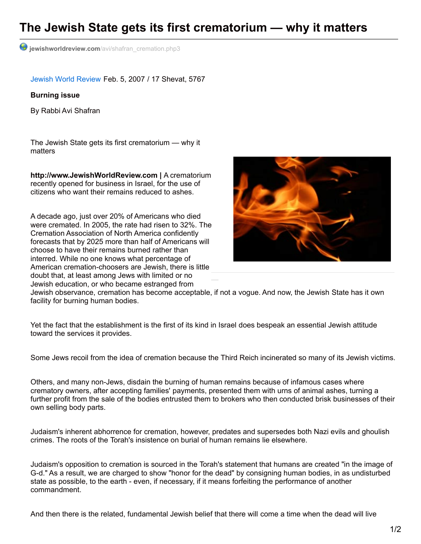## **The Jewish State gets its first crematorium — why it matters**

**jewishworldreview.com**[/avi/shafran\\_cremation.php3](http://www.jewishworldreview.com/avi/shafran_cremation.php3)

Jewish World [Review](http://www.jewishworldreview.com/) Feb. 5, 2007 / 17 Shevat, 5767

## **Burning issue**

By Rabbi Avi Shafran

The Jewish State gets its first crematorium — why it matters

**http://www.JewishWorldReview.com |** A crematorium recently opened for business in Israel, for the use of citizens who want their remains reduced to ashes.

A decade ago, just over 20% of Americans who died were cremated. In 2005, the rate had risen to 32%. The Cremation Association of North America confidently forecasts that by 2025 more than half of Americans will choose to have their remains burned rather than interred. While no one knows what percentage of American cremation-choosers are Jewish, there is little doubt that, at least among Jews with limited or no Jewish education, or who became estranged from



Jewish observance, cremation has become acceptable, if not a vogue. And now, the Jewish State has it own facility for burning human bodies.

Yet the fact that the establishment is the first of its kind in Israel does bespeak an essential Jewish attitude toward the services it provides.

Some Jews recoil from the idea of cremation because the Third Reich incinerated so many of its Jewish victims.

Others, and many non-Jews, disdain the burning of human remains because of infamous cases where crematory owners, after accepting families' payments, presented them with urns of animal ashes, turning a further profit from the sale of the bodies entrusted them to brokers who then conducted brisk businesses of their own selling body parts.

Judaism's inherent abhorrence for cremation, however, predates and supersedes both Nazi evils and ghoulish crimes. The roots of the Torah's insistence on burial of human remains lie elsewhere.

Judaism's opposition to cremation is sourced in the Torah's statement that humans are created "in the image of G-d." As a result, we are charged to show "honor for the dead" by consigning human bodies, in as undisturbed state as possible, to the earth - even, if necessary, if it means forfeiting the performance of another commandment.

And then there is the related, fundamental Jewish belief that there will come a time when the dead will live